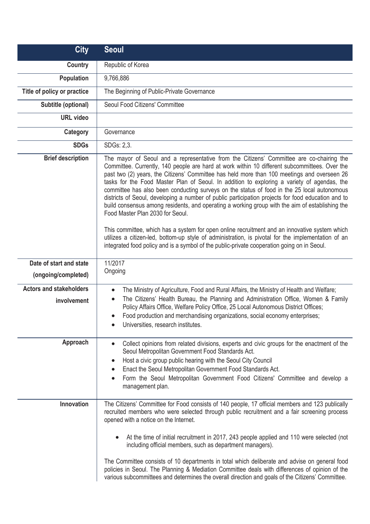| <b>City</b>                                   | <b>Seoul</b>                                                                                                                                                                                                                                                                                                                                                                                                                                                                                                                                                                                                                                                                                                                                                                                                                                                                                                                                                                                                                              |
|-----------------------------------------------|-------------------------------------------------------------------------------------------------------------------------------------------------------------------------------------------------------------------------------------------------------------------------------------------------------------------------------------------------------------------------------------------------------------------------------------------------------------------------------------------------------------------------------------------------------------------------------------------------------------------------------------------------------------------------------------------------------------------------------------------------------------------------------------------------------------------------------------------------------------------------------------------------------------------------------------------------------------------------------------------------------------------------------------------|
| <b>Country</b>                                | Republic of Korea                                                                                                                                                                                                                                                                                                                                                                                                                                                                                                                                                                                                                                                                                                                                                                                                                                                                                                                                                                                                                         |
| <b>Population</b>                             | 9,766,886                                                                                                                                                                                                                                                                                                                                                                                                                                                                                                                                                                                                                                                                                                                                                                                                                                                                                                                                                                                                                                 |
| Title of policy or practice                   | The Beginning of Public-Private Governance                                                                                                                                                                                                                                                                                                                                                                                                                                                                                                                                                                                                                                                                                                                                                                                                                                                                                                                                                                                                |
| Subtitle (optional)                           | Seoul Food Citizens' Committee                                                                                                                                                                                                                                                                                                                                                                                                                                                                                                                                                                                                                                                                                                                                                                                                                                                                                                                                                                                                            |
| <b>URL</b> video                              |                                                                                                                                                                                                                                                                                                                                                                                                                                                                                                                                                                                                                                                                                                                                                                                                                                                                                                                                                                                                                                           |
| Category                                      | Governance                                                                                                                                                                                                                                                                                                                                                                                                                                                                                                                                                                                                                                                                                                                                                                                                                                                                                                                                                                                                                                |
| <b>SDGs</b>                                   | SDGs: 2,3.                                                                                                                                                                                                                                                                                                                                                                                                                                                                                                                                                                                                                                                                                                                                                                                                                                                                                                                                                                                                                                |
| <b>Brief description</b>                      | The mayor of Seoul and a representative from the Citizens' Committee are co-chairing the<br>Committee. Currently, 140 people are hard at work within 10 different subcommittees. Over the<br>past two (2) years, the Citizens' Committee has held more than 100 meetings and overseen 26<br>tasks for the Food Master Plan of Seoul. In addition to exploring a variety of agendas, the<br>committee has also been conducting surveys on the status of food in the 25 local autonomous<br>districts of Seoul, developing a number of public participation projects for food education and to<br>build consensus among residents, and operating a working group with the aim of establishing the<br>Food Master Plan 2030 for Seoul.<br>This committee, which has a system for open online recruitment and an innovative system which<br>utilizes a citizen-led, bottom-up style of administration, is pivotal for the implementation of an<br>integrated food policy and is a symbol of the public-private cooperation going on in Seoul. |
| Date of start and state                       | 11/2017                                                                                                                                                                                                                                                                                                                                                                                                                                                                                                                                                                                                                                                                                                                                                                                                                                                                                                                                                                                                                                   |
| (ongoing/completed)                           | Ongoing                                                                                                                                                                                                                                                                                                                                                                                                                                                                                                                                                                                                                                                                                                                                                                                                                                                                                                                                                                                                                                   |
| <b>Actors and stakeholders</b><br>involvement | The Ministry of Agriculture, Food and Rural Affairs, the Ministry of Health and Welfare;<br>$\bullet$<br>The Citizens' Health Bureau, the Planning and Administration Office, Women & Family<br>$\bullet$<br>Policy Affairs Office, Welfare Policy Office, 25 Local Autonomous District Offices;<br>Food production and merchandising organizations, social economy enterprises;<br>Universities, research institutes.                                                                                                                                                                                                                                                                                                                                                                                                                                                                                                                                                                                                                    |
| Approach                                      | Collect opinions from related divisions, experts and civic groups for the enactment of the<br>Seoul Metropolitan Government Food Standards Act.<br>Host a civic group public hearing with the Seoul City Council<br>$\bullet$<br>Enact the Seoul Metropolitan Government Food Standards Act.<br>$\bullet$<br>Form the Seoul Metropolitan Government Food Citizens' Committee and develop a<br>$\bullet$<br>management plan.                                                                                                                                                                                                                                                                                                                                                                                                                                                                                                                                                                                                               |
| Innovation                                    | The Citizens' Committee for Food consists of 140 people, 17 official members and 123 publically<br>recruited members who were selected through public recruitment and a fair screening process<br>opened with a notice on the Internet.<br>At the time of initial recruitment in 2017, 243 people applied and 110 were selected (not<br>$\bullet$<br>including official members, such as department managers).<br>The Committee consists of 10 departments in total which deliberate and advise on general food<br>policies in Seoul. The Planning & Mediation Committee deals with differences of opinion of the<br>various subcommittees and determines the overall direction and goals of the Citizens' Committee.                                                                                                                                                                                                                                                                                                                     |